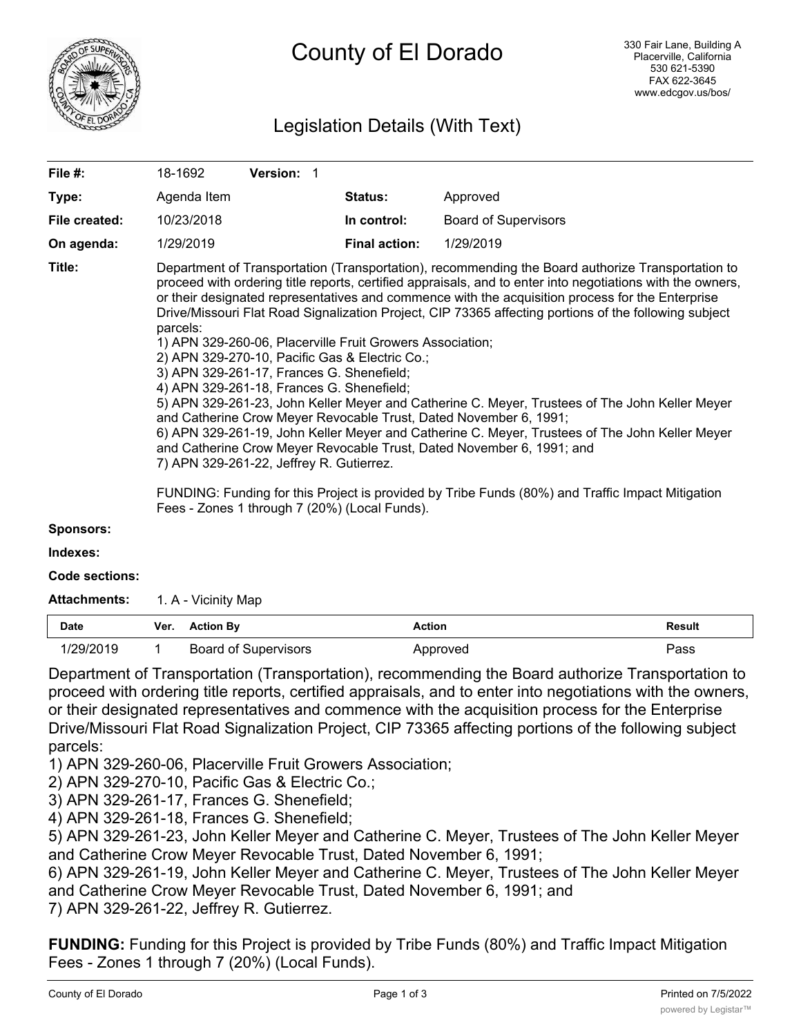

# Legislation Details (With Text)

| File #:          | 18-1692                                                                                                                                                                                                                                                                                                                                                                                                                                                                                                                                                                                                                                                                                                                                                                                                                                                                                                                                                                                                                                                                                                                                                                                              | Version: 1 |  |                      |                             |  |  |
|------------------|------------------------------------------------------------------------------------------------------------------------------------------------------------------------------------------------------------------------------------------------------------------------------------------------------------------------------------------------------------------------------------------------------------------------------------------------------------------------------------------------------------------------------------------------------------------------------------------------------------------------------------------------------------------------------------------------------------------------------------------------------------------------------------------------------------------------------------------------------------------------------------------------------------------------------------------------------------------------------------------------------------------------------------------------------------------------------------------------------------------------------------------------------------------------------------------------------|------------|--|----------------------|-----------------------------|--|--|
| Type:            | Agenda Item                                                                                                                                                                                                                                                                                                                                                                                                                                                                                                                                                                                                                                                                                                                                                                                                                                                                                                                                                                                                                                                                                                                                                                                          |            |  | <b>Status:</b>       | Approved                    |  |  |
| File created:    | 10/23/2018                                                                                                                                                                                                                                                                                                                                                                                                                                                                                                                                                                                                                                                                                                                                                                                                                                                                                                                                                                                                                                                                                                                                                                                           |            |  | In control:          | <b>Board of Supervisors</b> |  |  |
| On agenda:       | 1/29/2019                                                                                                                                                                                                                                                                                                                                                                                                                                                                                                                                                                                                                                                                                                                                                                                                                                                                                                                                                                                                                                                                                                                                                                                            |            |  | <b>Final action:</b> | 1/29/2019                   |  |  |
| Title:           | Department of Transportation (Transportation), recommending the Board authorize Transportation to<br>proceed with ordering title reports, certified appraisals, and to enter into negotiations with the owners,<br>or their designated representatives and commence with the acquisition process for the Enterprise<br>Drive/Missouri Flat Road Signalization Project, CIP 73365 affecting portions of the following subject<br>parcels:<br>1) APN 329-260-06, Placerville Fruit Growers Association;<br>2) APN 329-270-10, Pacific Gas & Electric Co.;<br>3) APN 329-261-17, Frances G. Shenefield;<br>4) APN 329-261-18, Frances G. Shenefield;<br>5) APN 329-261-23, John Keller Meyer and Catherine C. Meyer, Trustees of The John Keller Meyer<br>and Catherine Crow Meyer Revocable Trust, Dated November 6, 1991;<br>6) APN 329-261-19, John Keller Meyer and Catherine C. Meyer, Trustees of The John Keller Meyer<br>and Catherine Crow Meyer Revocable Trust, Dated November 6, 1991; and<br>7) APN 329-261-22, Jeffrey R. Gutierrez.<br>FUNDING: Funding for this Project is provided by Tribe Funds (80%) and Traffic Impact Mitigation<br>Fees - Zones 1 through 7 (20%) (Local Funds). |            |  |                      |                             |  |  |
| <b>Sponsors:</b> |                                                                                                                                                                                                                                                                                                                                                                                                                                                                                                                                                                                                                                                                                                                                                                                                                                                                                                                                                                                                                                                                                                                                                                                                      |            |  |                      |                             |  |  |
| Indexes:         |                                                                                                                                                                                                                                                                                                                                                                                                                                                                                                                                                                                                                                                                                                                                                                                                                                                                                                                                                                                                                                                                                                                                                                                                      |            |  |                      |                             |  |  |

**Code sections:**

Attachments: 1. A - Vicinity Map

| <b>Date</b> | Ver. Action By              | Action   | Result |
|-------------|-----------------------------|----------|--------|
| 1/29/2019   | <b>Board of Supervisors</b> | Approved | Pass   |

Department of Transportation (Transportation), recommending the Board authorize Transportation to proceed with ordering title reports, certified appraisals, and to enter into negotiations with the owners, or their designated representatives and commence with the acquisition process for the Enterprise Drive/Missouri Flat Road Signalization Project, CIP 73365 affecting portions of the following subject parcels:

1) APN 329-260-06, Placerville Fruit Growers Association;

2) APN 329-270-10, Pacific Gas & Electric Co.;

3) APN 329-261-17, Frances G. Shenefield;

4) APN 329-261-18, Frances G. Shenefield;

5) APN 329-261-23, John Keller Meyer and Catherine C. Meyer, Trustees of The John Keller Meyer and Catherine Crow Meyer Revocable Trust, Dated November 6, 1991;

6) APN 329-261-19, John Keller Meyer and Catherine C. Meyer, Trustees of The John Keller Meyer and Catherine Crow Meyer Revocable Trust, Dated November 6, 1991; and 7) APN 329-261-22, Jeffrey R. Gutierrez.

**FUNDING:** Funding for this Project is provided by Tribe Funds (80%) and Traffic Impact Mitigation Fees - Zones 1 through 7 (20%) (Local Funds).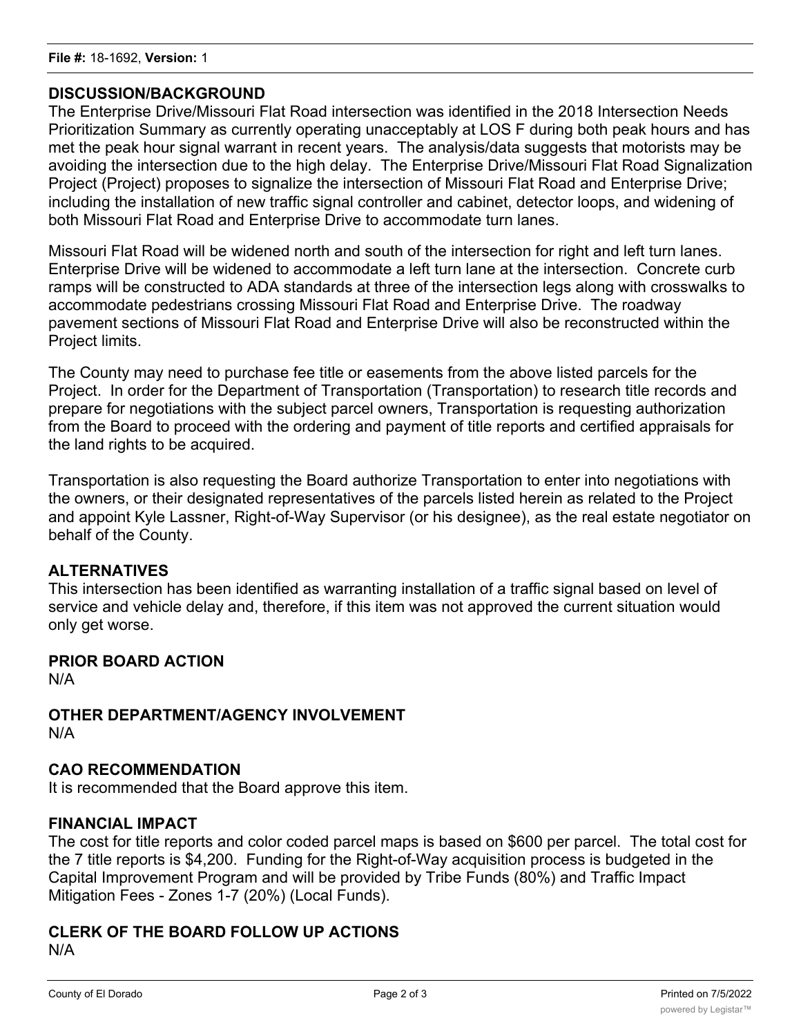## **DISCUSSION/BACKGROUND**

The Enterprise Drive/Missouri Flat Road intersection was identified in the 2018 Intersection Needs Prioritization Summary as currently operating unacceptably at LOS F during both peak hours and has met the peak hour signal warrant in recent years. The analysis/data suggests that motorists may be avoiding the intersection due to the high delay. The Enterprise Drive/Missouri Flat Road Signalization Project (Project) proposes to signalize the intersection of Missouri Flat Road and Enterprise Drive; including the installation of new traffic signal controller and cabinet, detector loops, and widening of both Missouri Flat Road and Enterprise Drive to accommodate turn lanes.

Missouri Flat Road will be widened north and south of the intersection for right and left turn lanes. Enterprise Drive will be widened to accommodate a left turn lane at the intersection. Concrete curb ramps will be constructed to ADA standards at three of the intersection legs along with crosswalks to accommodate pedestrians crossing Missouri Flat Road and Enterprise Drive. The roadway pavement sections of Missouri Flat Road and Enterprise Drive will also be reconstructed within the Project limits.

The County may need to purchase fee title or easements from the above listed parcels for the Project. In order for the Department of Transportation (Transportation) to research title records and prepare for negotiations with the subject parcel owners, Transportation is requesting authorization from the Board to proceed with the ordering and payment of title reports and certified appraisals for the land rights to be acquired.

Transportation is also requesting the Board authorize Transportation to enter into negotiations with the owners, or their designated representatives of the parcels listed herein as related to the Project and appoint Kyle Lassner, Right-of-Way Supervisor (or his designee), as the real estate negotiator on behalf of the County.

## **ALTERNATIVES**

This intersection has been identified as warranting installation of a traffic signal based on level of service and vehicle delay and, therefore, if this item was not approved the current situation would only get worse.

#### **PRIOR BOARD ACTION**

N/A

**OTHER DEPARTMENT/AGENCY INVOLVEMENT** N/A

## **CAO RECOMMENDATION**

It is recommended that the Board approve this item.

#### **FINANCIAL IMPACT**

The cost for title reports and color coded parcel maps is based on \$600 per parcel. The total cost for the 7 title reports is \$4,200. Funding for the Right-of-Way acquisition process is budgeted in the Capital Improvement Program and will be provided by Tribe Funds (80%) and Traffic Impact Mitigation Fees - Zones 1-7 (20%) (Local Funds).

## **CLERK OF THE BOARD FOLLOW UP ACTIONS** N/A